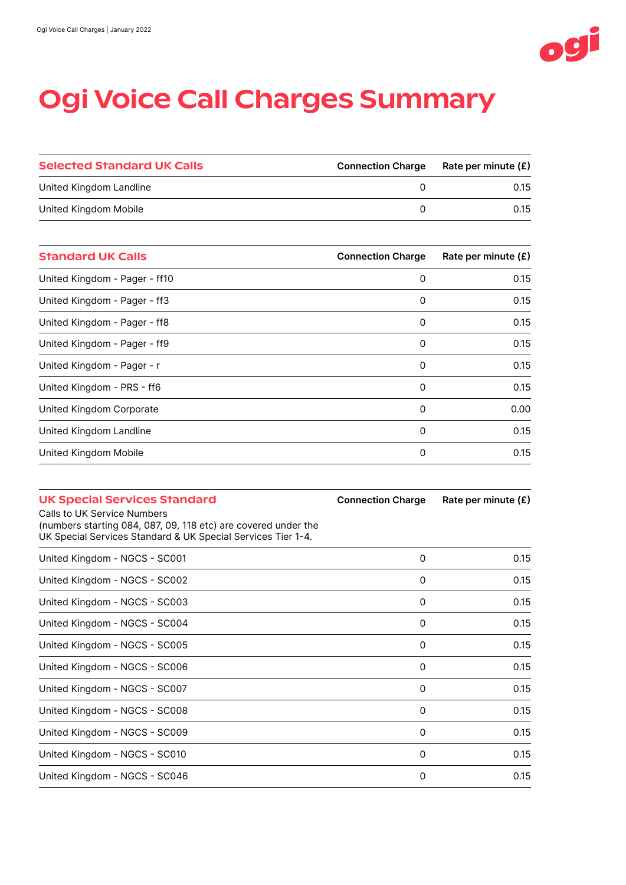

## Ogi Voice Call Charges Summary

| <b>Selected Standard UK Calls</b> | <b>Connection Charge</b> | Rate per minute (£) |
|-----------------------------------|--------------------------|---------------------|
| United Kingdom Landline           |                          | 0.15                |
| United Kingdom Mobile             |                          | 0.15                |

| <b>Standard UK Calls</b>      | <b>Connection Charge</b> | Rate per minute $(E)$ |
|-------------------------------|--------------------------|-----------------------|
| United Kingdom - Pager - ff10 | 0                        | 0.15                  |
| United Kingdom - Pager - ff3  | 0                        | 0.15                  |
| United Kingdom - Pager - ff8  | 0                        | 0.15                  |
| United Kingdom - Pager - ff9  | 0                        | 0.15                  |
| United Kingdom - Pager - r    | 0                        | 0.15                  |
| United Kingdom - PRS - ff6    | 0                        | 0.15                  |
| United Kingdom Corporate      | 0                        | 0.00                  |
| United Kingdom Landline       | 0                        | 0.15                  |
| United Kingdom Mobile         | 0                        | 0.15                  |
|                               |                          |                       |

| <b>UK Special Services Standard</b><br>Calls to UK Service Numbers                                                             | <b>Connection Charge</b> | Rate per minute $(E)$ |
|--------------------------------------------------------------------------------------------------------------------------------|--------------------------|-----------------------|
| (numbers starting 084, 087, 09, 118 etc) are covered under the<br>UK Special Services Standard & UK Special Services Tier 1-4. |                          |                       |
| United Kingdom - NGCS - SC001                                                                                                  | 0                        | 0.15                  |
| United Kingdom - NGCS - SC002                                                                                                  | 0                        | 0.15                  |
| United Kingdom - NGCS - SC003                                                                                                  | 0                        | 0.15                  |
| United Kingdom - NGCS - SC004                                                                                                  | 0                        | 0.15                  |
| United Kingdom - NGCS - SC005                                                                                                  | 0                        | 0.15                  |
| United Kingdom - NGCS - SC006                                                                                                  | 0                        | 0.15                  |
| United Kingdom - NGCS - SC007                                                                                                  | 0                        | 0.15                  |
| United Kingdom - NGCS - SC008                                                                                                  | 0                        | 0.15                  |
| United Kingdom - NGCS - SC009                                                                                                  | 0                        | 0.15                  |
| United Kingdom - NGCS - SC010                                                                                                  | 0                        | 0.15                  |
| United Kingdom - NGCS - SC046                                                                                                  | 0                        | 0.15                  |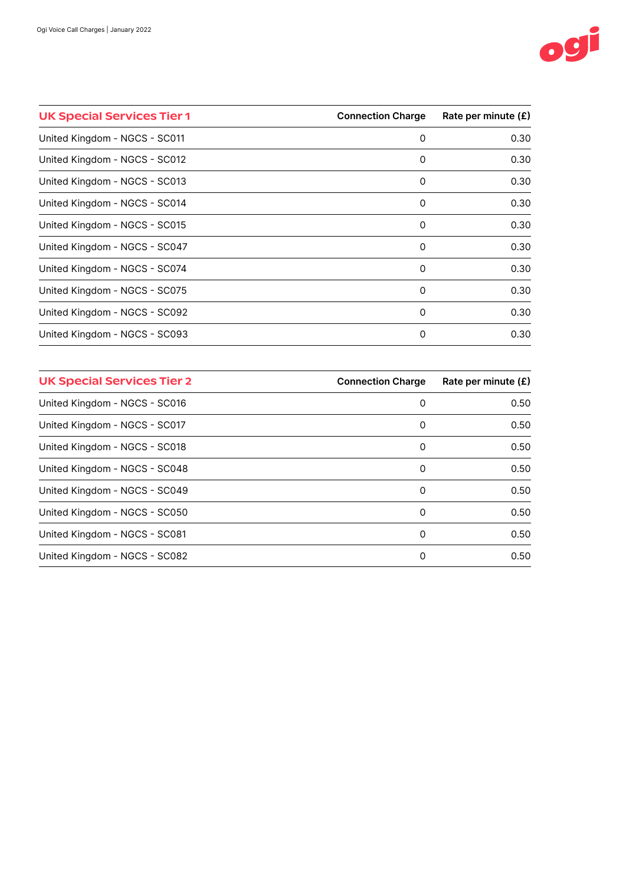

| <b>UK Special Services Tier 1</b> | <b>Connection Charge</b> | Rate per minute $(E)$ |
|-----------------------------------|--------------------------|-----------------------|
| United Kingdom - NGCS - SC011     | 0                        | 0.30                  |
| United Kingdom - NGCS - SC012     | 0                        | 0.30                  |
| United Kingdom - NGCS - SC013     | 0                        | 0.30                  |
| United Kingdom - NGCS - SC014     | 0                        | 0.30                  |
| United Kingdom - NGCS - SC015     | 0                        | 0.30                  |
| United Kingdom - NGCS - SC047     | 0                        | 0.30                  |
| United Kingdom - NGCS - SC074     | 0                        | 0.30                  |
| United Kingdom - NGCS - SC075     | 0                        | 0.30                  |
| United Kingdom - NGCS - SC092     | 0                        | 0.30                  |
| United Kingdom - NGCS - SC093     | 0                        | 0.30                  |

| <b>UK Special Services Tier 2</b> | <b>Connection Charge</b> | Rate per minute $(E)$ |
|-----------------------------------|--------------------------|-----------------------|
| United Kingdom - NGCS - SC016     | 0                        | 0.50                  |
| United Kingdom - NGCS - SC017     | 0                        | 0.50                  |
| United Kingdom - NGCS - SC018     | 0                        | 0.50                  |
| United Kingdom - NGCS - SC048     | 0                        | 0.50                  |
| United Kingdom - NGCS - SC049     | 0                        | 0.50                  |
| United Kingdom - NGCS - SC050     | 0                        | 0.50                  |
| United Kingdom - NGCS - SC081     | 0                        | 0.50                  |
| United Kingdom - NGCS - SC082     | 0                        | 0.50                  |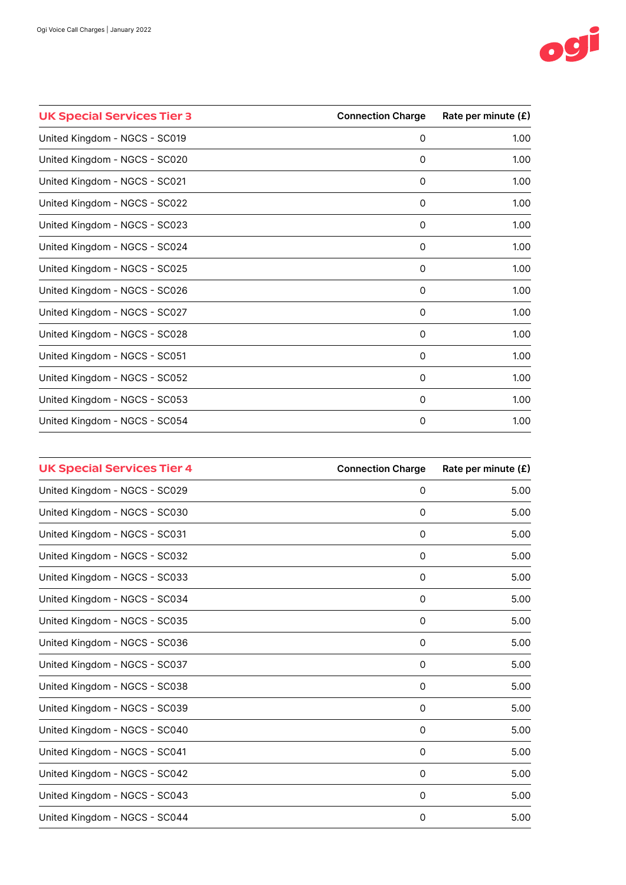

| <b>UK Special Services Tier 3</b> | <b>Connection Charge</b> | Rate per minute (£) |
|-----------------------------------|--------------------------|---------------------|
| United Kingdom - NGCS - SC019     | 0                        | 1.00                |
| United Kingdom - NGCS - SC020     | 0                        | 1.00                |
| United Kingdom - NGCS - SC021     | 0                        | 1.00                |
| United Kingdom - NGCS - SC022     | 0                        | 1.00                |
| United Kingdom - NGCS - SC023     | 0                        | 1.00                |
| United Kingdom - NGCS - SC024     | 0                        | 1.00                |
| United Kingdom - NGCS - SC025     | 0                        | 1.00                |
| United Kingdom - NGCS - SC026     | 0                        | 1.00                |
| United Kingdom - NGCS - SC027     | 0                        | 1.00                |
| United Kingdom - NGCS - SC028     | $\Omega$                 | 1.00                |
| United Kingdom - NGCS - SC051     | 0                        | 1.00                |
| United Kingdom - NGCS - SC052     | $\Omega$                 | 1.00                |
| United Kingdom - NGCS - SC053     | 0                        | 1.00                |
| United Kingdom - NGCS - SC054     | 0                        | 1.00                |

| <b>UK Special Services Tier 4</b> | <b>Connection Charge</b> | Rate per minute (£) |
|-----------------------------------|--------------------------|---------------------|
| United Kingdom - NGCS - SC029     | 0                        | 5.00                |
| United Kingdom - NGCS - SC030     | 0                        | 5.00                |
| United Kingdom - NGCS - SC031     | 0                        | 5.00                |
| United Kingdom - NGCS - SC032     | 0                        | 5.00                |
| United Kingdom - NGCS - SC033     | $\mathbf 0$              | 5.00                |
| United Kingdom - NGCS - SC034     | 0                        | 5.00                |
| United Kingdom - NGCS - SC035     | 0                        | 5.00                |
| United Kingdom - NGCS - SC036     | 0                        | 5.00                |
| United Kingdom - NGCS - SC037     | 0                        | 5.00                |
| United Kingdom - NGCS - SC038     | 0                        | 5.00                |
| United Kingdom - NGCS - SC039     | 0                        | 5.00                |
| United Kingdom - NGCS - SC040     | 0                        | 5.00                |
| United Kingdom - NGCS - SC041     | 0                        | 5.00                |
| United Kingdom - NGCS - SC042     | 0                        | 5.00                |
| United Kingdom - NGCS - SC043     | 0                        | 5.00                |
| United Kingdom - NGCS - SC044     | 0                        | 5.00                |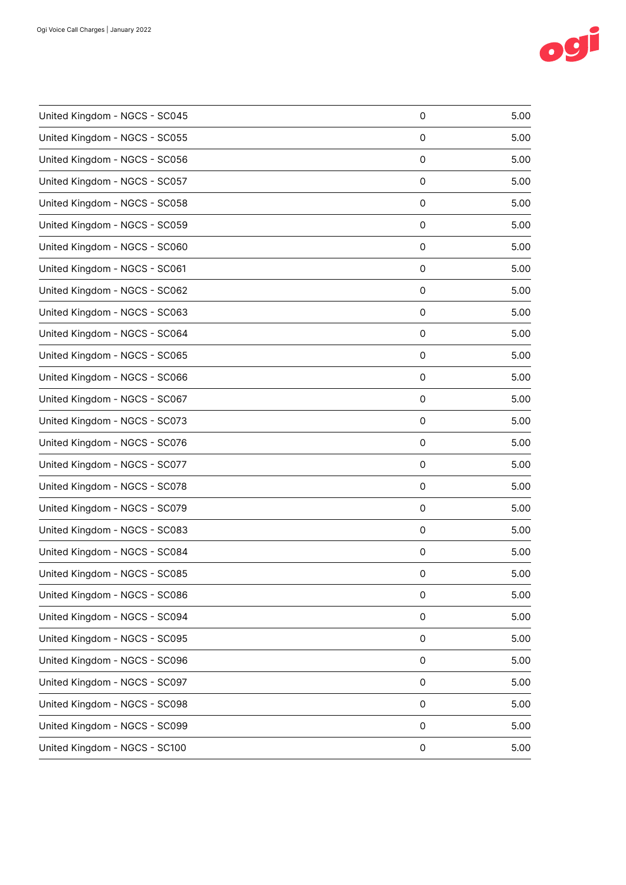

| United Kingdom - NGCS - SC045 | 0 | 5.00 |
|-------------------------------|---|------|
| United Kingdom - NGCS - SC055 | 0 | 5.00 |
| United Kingdom - NGCS - SC056 | 0 | 5.00 |
| United Kingdom - NGCS - SC057 | 0 | 5.00 |
| United Kingdom - NGCS - SC058 | 0 | 5.00 |
| United Kingdom - NGCS - SC059 | 0 | 5.00 |
| United Kingdom - NGCS - SC060 | 0 | 5.00 |
| United Kingdom - NGCS - SC061 | 0 | 5.00 |
| United Kingdom - NGCS - SC062 | 0 | 5.00 |
| United Kingdom - NGCS - SC063 | 0 | 5.00 |
| United Kingdom - NGCS - SC064 | 0 | 5.00 |
| United Kingdom - NGCS - SC065 | 0 | 5.00 |
| United Kingdom - NGCS - SC066 | 0 | 5.00 |
| United Kingdom - NGCS - SC067 | 0 | 5.00 |
| United Kingdom - NGCS - SC073 | 0 | 5.00 |
| United Kingdom - NGCS - SC076 | 0 | 5.00 |
| United Kingdom - NGCS - SC077 | 0 | 5.00 |
| United Kingdom - NGCS - SC078 | 0 | 5.00 |
| United Kingdom - NGCS - SC079 | 0 | 5.00 |
| United Kingdom - NGCS - SC083 | 0 | 5.00 |
| United Kingdom - NGCS - SC084 | 0 | 5.00 |
| United Kingdom - NGCS - SC085 | 0 | 5.00 |
| United Kingdom - NGCS - SC086 | 0 | 5.00 |
| United Kingdom - NGCS - SC094 | 0 | 5.00 |
| United Kingdom - NGCS - SC095 | 0 | 5.00 |
| United Kingdom - NGCS - SC096 | 0 | 5.00 |
| United Kingdom - NGCS - SC097 | 0 | 5.00 |
| United Kingdom - NGCS - SC098 | 0 | 5.00 |
| United Kingdom - NGCS - SC099 | 0 | 5.00 |
| United Kingdom - NGCS - SC100 | 0 | 5.00 |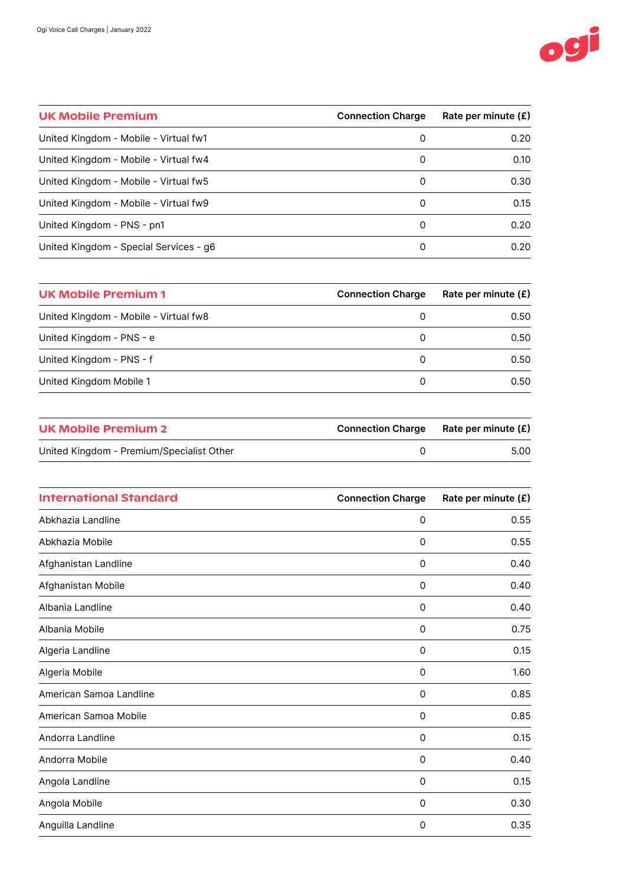

| <b>UK Mobile Premium</b>               | <b>Connection Charge</b> | Rate per minute $(E)$ |
|----------------------------------------|--------------------------|-----------------------|
| United Kingdom - Mobile - Virtual fw1  | 0                        | 0.20                  |
| United Kingdom - Mobile - Virtual fw4  | 0                        | 0.10                  |
| United Kingdom - Mobile - Virtual fw5  | 0                        | 0.30                  |
| United Kingdom - Mobile - Virtual fw9  | 0                        | 0.15                  |
| United Kingdom - PNS - pn1             | 0                        | 0.20                  |
| United Kingdom - Special Services - g6 | 0                        | 0.20                  |

| UK Mobile Premium 1                   | <b>Connection Charge</b> | Rate per minute $(E)$ |
|---------------------------------------|--------------------------|-----------------------|
| United Kingdom - Mobile - Virtual fw8 | 0                        | 0.50                  |
| United Kingdom - PNS - e              | 0                        | 0.50                  |
| United Kingdom - PNS - f              | 0                        | 0.50                  |
| United Kingdom Mobile 1               | 0                        | 0.50                  |

| UK Mobile Premium 2                       | <b>Connection Charge</b> | Rate per minute (£) |
|-------------------------------------------|--------------------------|---------------------|
| United Kingdom - Premium/Specialist Other |                          | 5.00                |
|                                           |                          |                     |

| <b>International Standard</b> | <b>Connection Charge</b> | Rate per minute (£) |
|-------------------------------|--------------------------|---------------------|
| Abkhazia Landline             | $\mathbf 0$              | 0.55                |
| Abkhazia Mobile               | 0                        | 0.55                |
| Afghanistan Landline          | $\mathbf 0$              | 0.40                |
| Afghanistan Mobile            | 0                        | 0.40                |
| Albania Landline              | 0                        | 0.40                |
| Albania Mobile                | 0                        | 0.75                |
| Algeria Landline              | $\mathbf 0$              | 0.15                |
| Algeria Mobile                | 0                        | 1.60                |
| American Samoa Landline       | 0                        | 0.85                |
| American Samoa Mobile         | $\mathbf 0$              | 0.85                |
| Andorra Landline              | 0                        | 0.15                |
| Andorra Mobile                | 0                        | 0.40                |
| Angola Landline               | $\mathbf 0$              | 0.15                |
| Angola Mobile                 | 0                        | 0.30                |
| Anguilla Landline             | 0                        | 0.35                |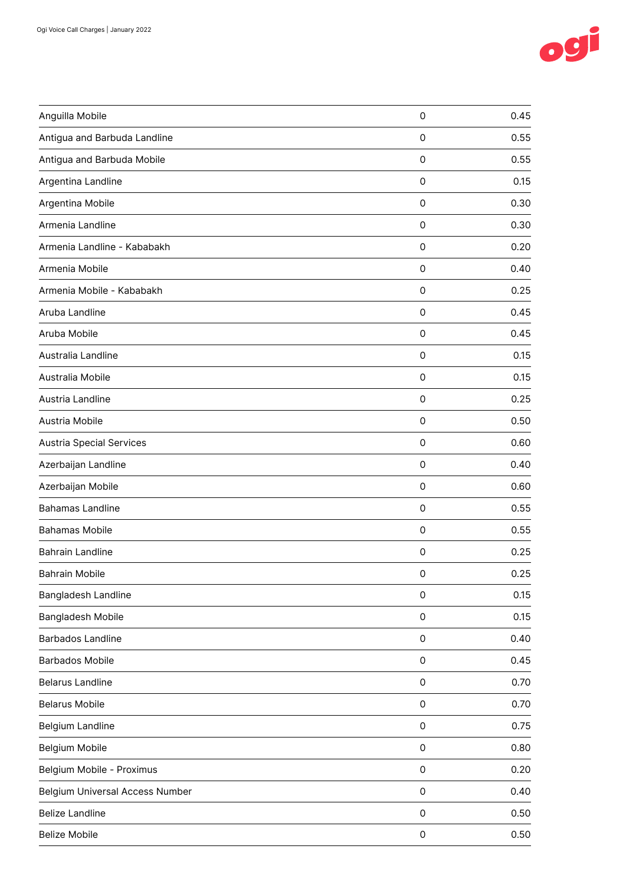

| Anguilla Mobile                        | $\mathsf{O}\xspace$ | 0.45 |
|----------------------------------------|---------------------|------|
| Antigua and Barbuda Landline           | $\mathbf 0$         | 0.55 |
| Antigua and Barbuda Mobile             | $\mathsf{O}\xspace$ | 0.55 |
| Argentina Landline                     | $\mathsf{O}\xspace$ | 0.15 |
| Argentina Mobile                       | $\mathbf 0$         | 0.30 |
| Armenia Landline                       | 0                   | 0.30 |
| Armenia Landline - Kababakh            | $\mathsf{O}\xspace$ | 0.20 |
| Armenia Mobile                         | $\mathsf{O}\xspace$ | 0.40 |
| Armenia Mobile - Kababakh              | $\mathsf{O}\xspace$ | 0.25 |
| Aruba Landline                         | 0                   | 0.45 |
| Aruba Mobile                           | $\mathbf 0$         | 0.45 |
| Australia Landline                     | $\mathsf{O}\xspace$ | 0.15 |
| Australia Mobile                       | $\mathbf 0$         | 0.15 |
| Austria Landline                       | 0                   | 0.25 |
| Austria Mobile                         | $\mathsf{O}\xspace$ | 0.50 |
| <b>Austria Special Services</b>        | $\mathsf{O}\xspace$ | 0.60 |
| Azerbaijan Landline                    | 0                   | 0.40 |
| Azerbaijan Mobile                      | $\mathsf{O}\xspace$ | 0.60 |
| <b>Bahamas Landline</b>                | $\mathsf{O}\xspace$ | 0.55 |
| <b>Bahamas Mobile</b>                  | $\mathsf{O}\xspace$ | 0.55 |
| Bahrain Landline                       | 0                   | 0.25 |
| <b>Bahrain Mobile</b>                  | 0                   | 0.25 |
| Bangladesh Landline                    | $\mathsf{O}\xspace$ | 0.15 |
| Bangladesh Mobile                      | $\mathsf{O}\xspace$ | 0.15 |
| <b>Barbados Landline</b>               | $\mathsf{O}\xspace$ | 0.40 |
| <b>Barbados Mobile</b>                 | $\mathsf{O}\xspace$ | 0.45 |
| <b>Belarus Landline</b>                | $\mathsf{O}\xspace$ | 0.70 |
| <b>Belarus Mobile</b>                  | $\mathsf{O}\xspace$ | 0.70 |
| Belgium Landline                       | $\mathsf{O}\xspace$ | 0.75 |
| Belgium Mobile                         | $\mathsf{O}\xspace$ | 0.80 |
| Belgium Mobile - Proximus              | $\mathsf{O}\xspace$ | 0.20 |
| <b>Belgium Universal Access Number</b> | $\mathsf{O}\xspace$ | 0.40 |
| <b>Belize Landline</b>                 | 0                   | 0.50 |
| <b>Belize Mobile</b>                   | $\mathsf{O}\xspace$ | 0.50 |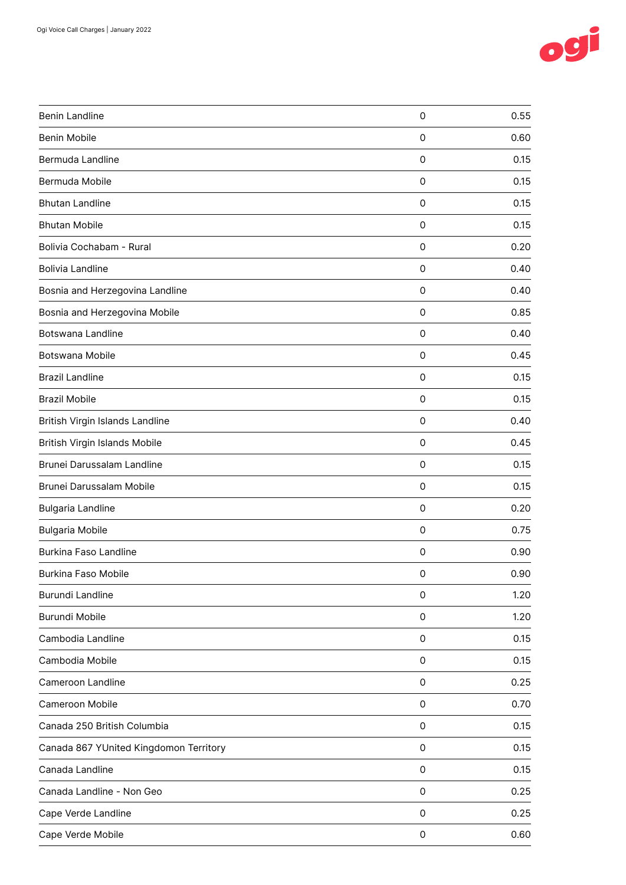

| <b>Benin Landline</b>                  | $\mathsf{O}\xspace$ | 0.55 |
|----------------------------------------|---------------------|------|
| Benin Mobile                           | 0                   | 0.60 |
| Bermuda Landline                       | 0                   | 0.15 |
| Bermuda Mobile                         | $\mathsf{O}\xspace$ | 0.15 |
| <b>Bhutan Landline</b>                 | 0                   | 0.15 |
| <b>Bhutan Mobile</b>                   | 0                   | 0.15 |
| Bolivia Cochabam - Rural               | 0                   | 0.20 |
| <b>Bolivia Landline</b>                | $\mathsf{O}\xspace$ | 0.40 |
| Bosnia and Herzegovina Landline        | $\mathbf 0$         | 0.40 |
| Bosnia and Herzegovina Mobile          | 0                   | 0.85 |
| <b>Botswana Landline</b>               | 0                   | 0.40 |
| Botswana Mobile                        | $\mathsf{O}\xspace$ | 0.45 |
| <b>Brazil Landline</b>                 | 0                   | 0.15 |
| <b>Brazil Mobile</b>                   | 0                   | 0.15 |
| British Virgin Islands Landline        | $\mathbf 0$         | 0.40 |
| British Virgin Islands Mobile          | $\mathsf{O}\xspace$ | 0.45 |
| Brunei Darussalam Landline             | 0                   | 0.15 |
| Brunei Darussalam Mobile               | 0                   | 0.15 |
| <b>Bulgaria Landline</b>               | $\mathsf{O}\xspace$ | 0.20 |
| <b>Bulgaria Mobile</b>                 | $\mathbf 0$         | 0.75 |
| <b>Burkina Faso Landline</b>           | 0                   | 0.90 |
| Burkina Faso Mobile                    | 0                   | 0.90 |
| Burundi Landline                       | $\mathsf{O}\xspace$ | 1.20 |
| Burundi Mobile                         | 0                   | 1.20 |
| Cambodia Landline                      | 0                   | 0.15 |
| Cambodia Mobile                        | 0                   | 0.15 |
| Cameroon Landline                      | 0                   | 0.25 |
| Cameroon Mobile                        | 0                   | 0.70 |
| Canada 250 British Columbia            | 0                   | 0.15 |
| Canada 867 YUnited Kingdomon Territory | 0                   | 0.15 |
| Canada Landline                        | 0                   | 0.15 |
| Canada Landline - Non Geo              | $\mathsf{O}\xspace$ | 0.25 |
| Cape Verde Landline                    | 0                   | 0.25 |
| Cape Verde Mobile                      | 0                   | 0.60 |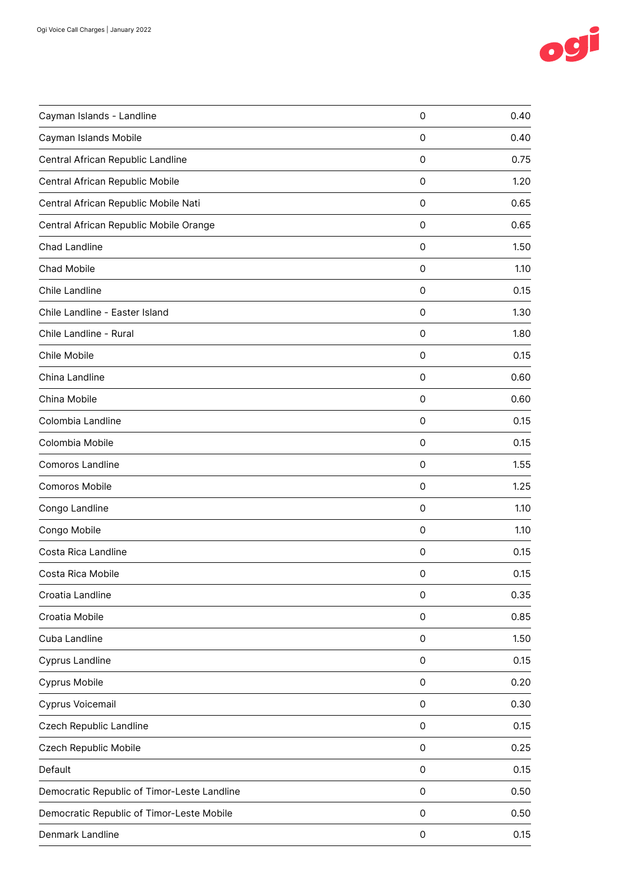

| Cayman Islands Mobile<br>Central African Republic Landline<br>Central African Republic Mobile<br>Central African Republic Mobile Nati<br>Central African Republic Mobile Orange<br><b>Chad Landline</b> | 0<br>0<br>$\mathsf{O}\xspace$<br>0<br>0<br>0<br>$\mathsf{O}\xspace$<br>0<br>0<br>$\mathsf{O}\xspace$ | 0.40<br>0.75<br>1.20<br>0.65<br>0.65<br>1.50<br>1.10<br>0.15<br>1.30 |
|---------------------------------------------------------------------------------------------------------------------------------------------------------------------------------------------------------|------------------------------------------------------------------------------------------------------|----------------------------------------------------------------------|
|                                                                                                                                                                                                         |                                                                                                      |                                                                      |
|                                                                                                                                                                                                         |                                                                                                      |                                                                      |
|                                                                                                                                                                                                         |                                                                                                      |                                                                      |
|                                                                                                                                                                                                         |                                                                                                      |                                                                      |
|                                                                                                                                                                                                         |                                                                                                      |                                                                      |
|                                                                                                                                                                                                         |                                                                                                      |                                                                      |
| Chad Mobile                                                                                                                                                                                             |                                                                                                      |                                                                      |
| Chile Landline                                                                                                                                                                                          |                                                                                                      |                                                                      |
| Chile Landline - Easter Island                                                                                                                                                                          |                                                                                                      |                                                                      |
| Chile Landline - Rural                                                                                                                                                                                  |                                                                                                      | 1.80                                                                 |
| Chile Mobile                                                                                                                                                                                            | 0                                                                                                    | 0.15                                                                 |
| China Landline                                                                                                                                                                                          | 0                                                                                                    | 0.60                                                                 |
| China Mobile                                                                                                                                                                                            | 0                                                                                                    | 0.60                                                                 |
| Colombia Landline                                                                                                                                                                                       | $\mathsf{O}\xspace$                                                                                  | 0.15                                                                 |
| Colombia Mobile                                                                                                                                                                                         | 0                                                                                                    | 0.15                                                                 |
| Comoros Landline                                                                                                                                                                                        | 0                                                                                                    | 1.55                                                                 |
| Comoros Mobile                                                                                                                                                                                          | 0                                                                                                    | 1.25                                                                 |
| Congo Landline                                                                                                                                                                                          | $\mathsf{O}\xspace$                                                                                  | 1.10                                                                 |
| Congo Mobile                                                                                                                                                                                            | 0                                                                                                    | 1.10                                                                 |
| Costa Rica Landline                                                                                                                                                                                     | 0                                                                                                    | 0.15                                                                 |
| Costa Rica Mobile                                                                                                                                                                                       | 0                                                                                                    | 0.15                                                                 |
| Croatia Landline                                                                                                                                                                                        | $\mathsf{O}\xspace$                                                                                  | 0.35                                                                 |
| Croatia Mobile                                                                                                                                                                                          | $\mathsf{O}\xspace$                                                                                  | 0.85                                                                 |
| Cuba Landline                                                                                                                                                                                           | $\mathsf{O}\xspace$                                                                                  | 1.50                                                                 |
| <b>Cyprus Landline</b>                                                                                                                                                                                  | $\mathsf{O}\xspace$                                                                                  | 0.15                                                                 |
| Cyprus Mobile                                                                                                                                                                                           | $\mathsf{O}\xspace$                                                                                  | 0.20                                                                 |
| Cyprus Voicemail                                                                                                                                                                                        | $\mathsf{O}\xspace$                                                                                  | 0.30                                                                 |
| Czech Republic Landline                                                                                                                                                                                 | 0                                                                                                    | 0.15                                                                 |
| Czech Republic Mobile                                                                                                                                                                                   | $\mathsf 0$                                                                                          | 0.25                                                                 |
| Default                                                                                                                                                                                                 | $\mathsf 0$                                                                                          | 0.15                                                                 |
| Democratic Republic of Timor-Leste Landline                                                                                                                                                             | $\mathsf 0$                                                                                          | 0.50                                                                 |
| Democratic Republic of Timor-Leste Mobile                                                                                                                                                               | $\mathsf{O}\xspace$                                                                                  | 0.50                                                                 |
| Denmark Landline                                                                                                                                                                                        | 0                                                                                                    | 0.15                                                                 |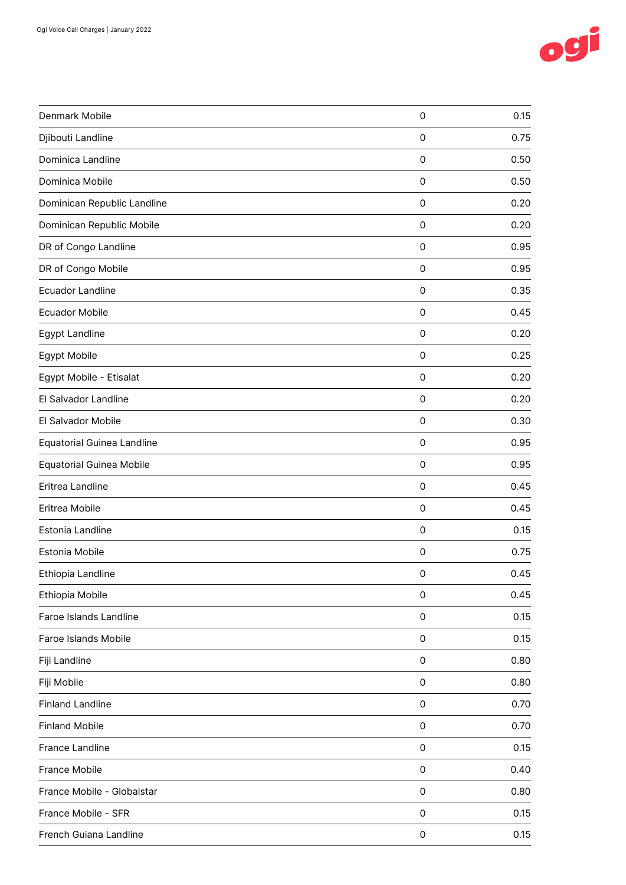

| Denmark Mobile                    | 0                   | 0.15 |
|-----------------------------------|---------------------|------|
| Djibouti Landline                 | 0                   | 0.75 |
| Dominica Landline                 | 0                   | 0.50 |
| Dominica Mobile                   | 0                   | 0.50 |
| Dominican Republic Landline       | $\mathsf{O}\xspace$ | 0.20 |
| Dominican Republic Mobile         | 0                   | 0.20 |
| DR of Congo Landline              | 0                   | 0.95 |
| DR of Congo Mobile                | 0                   | 0.95 |
| <b>Ecuador Landline</b>           | 0                   | 0.35 |
| <b>Ecuador Mobile</b>             | 0                   | 0.45 |
| Egypt Landline                    | 0                   | 0.20 |
| Egypt Mobile                      | $\mathsf{O}\xspace$ | 0.25 |
| Egypt Mobile - Etisalat           | 0                   | 0.20 |
| El Salvador Landline              | $\mathsf{O}\xspace$ | 0.20 |
| El Salvador Mobile                | 0                   | 0.30 |
| <b>Equatorial Guinea Landline</b> | $\mathsf{O}\xspace$ | 0.95 |
| <b>Equatorial Guinea Mobile</b>   | 0                   | 0.95 |
| Eritrea Landline                  | 0                   | 0.45 |
| Eritrea Mobile                    | 0                   | 0.45 |
| Estonia Landline                  | 0                   | 0.15 |
| Estonia Mobile                    | $\mathsf{O}\xspace$ | 0.75 |
| Ethiopia Landline                 | 0                   | 0.45 |
| Ethiopia Mobile                   | 0                   | 0.45 |
| Faroe Islands Landline            | 0                   | 0.15 |
| Faroe Islands Mobile              | 0                   | 0.15 |
| Fiji Landline                     | 0                   | 0.80 |
| Fiji Mobile                       | 0                   | 0.80 |
| <b>Finland Landline</b>           | 0                   | 0.70 |
| <b>Finland Mobile</b>             | $\mathsf{O}\xspace$ | 0.70 |
| France Landline                   | $\mathsf{O}\xspace$ | 0.15 |
| France Mobile                     | 0                   | 0.40 |
| France Mobile - Globalstar        | $\mathsf{O}\xspace$ | 0.80 |
| France Mobile - SFR               | 0                   | 0.15 |
| French Guiana Landline            | 0                   | 0.15 |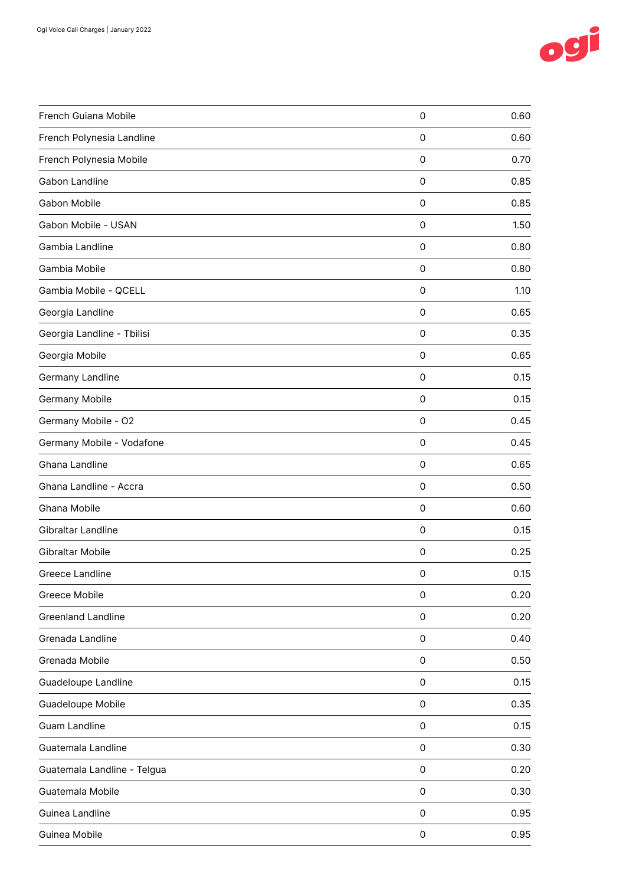

| French Guiana Mobile        | $\mathsf{O}\xspace$ | 0.60 |
|-----------------------------|---------------------|------|
| French Polynesia Landline   | $\mathbf 0$         | 0.60 |
| French Polynesia Mobile     | 0                   | 0.70 |
| Gabon Landline              | 0                   | 0.85 |
| Gabon Mobile                | $\mathsf{O}\xspace$ | 0.85 |
| Gabon Mobile - USAN         | 0                   | 1.50 |
| Gambia Landline             | 0                   | 0.80 |
| Gambia Mobile               | $\mathsf{O}\xspace$ | 0.80 |
| Gambia Mobile - QCELL       | $\mathbf 0$         | 1.10 |
| Georgia Landline            | 0                   | 0.65 |
| Georgia Landline - Tbilisi  | 0                   | 0.35 |
| Georgia Mobile              | $\mathsf{O}\xspace$ | 0.65 |
| Germany Landline            | 0                   | 0.15 |
| Germany Mobile              | 0                   | 0.15 |
| Germany Mobile - O2         | 0                   | 0.45 |
| Germany Mobile - Vodafone   | $\mathsf{O}\xspace$ | 0.45 |
| Ghana Landline              | 0                   | 0.65 |
| Ghana Landline - Accra      | 0                   | 0.50 |
| Ghana Mobile                | $\mathsf{O}\xspace$ | 0.60 |
| Gibraltar Landline          | $\mathsf{O}\xspace$ | 0.15 |
| Gibraltar Mobile            | 0                   | 0.25 |
| Greece Landline             | 0                   | 0.15 |
| Greece Mobile               | $\mathsf{O}\xspace$ | 0.20 |
| <b>Greenland Landline</b>   | $\mathsf{O}\xspace$ | 0.20 |
| Grenada Landline            | $\mathsf{O}\xspace$ | 0.40 |
| Grenada Mobile              | 0                   | 0.50 |
| <b>Guadeloupe Landline</b>  | $\mathsf{O}\xspace$ | 0.15 |
| Guadeloupe Mobile           | $\mathsf{O}\xspace$ | 0.35 |
| <b>Guam Landline</b>        | $\mathsf{O}\xspace$ | 0.15 |
| Guatemala Landline          | $\mathsf{O}\xspace$ | 0.30 |
| Guatemala Landline - Telgua | $\mathsf 0$         | 0.20 |
| Guatemala Mobile            | $\mathsf{O}\xspace$ | 0.30 |
| Guinea Landline             | $\mathsf{O}\xspace$ | 0.95 |
| Guinea Mobile               | $\mathsf{O}\xspace$ | 0.95 |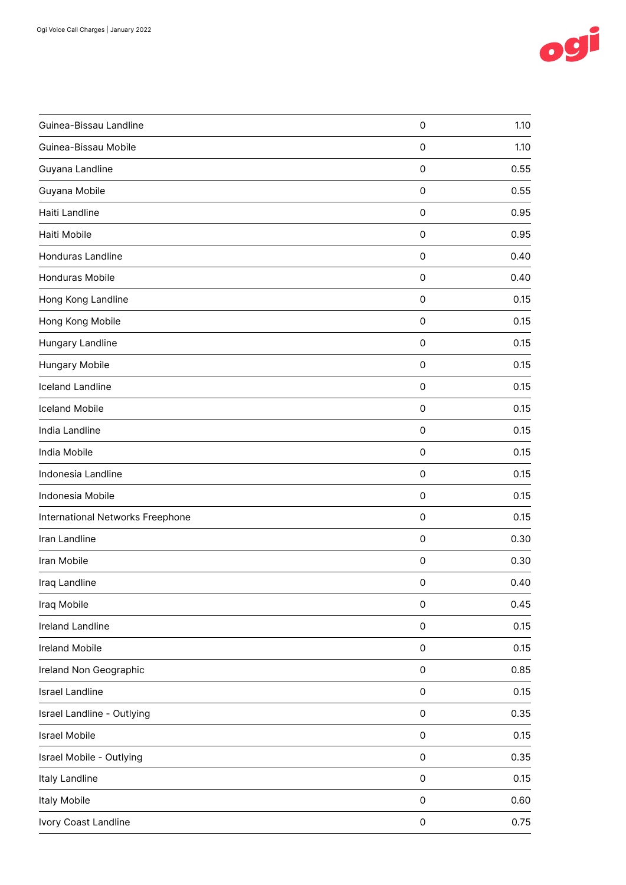

| Guinea-Bissau Landline           | $\mathsf{O}\xspace$ | 1.10 |
|----------------------------------|---------------------|------|
| Guinea-Bissau Mobile             | 0                   | 1.10 |
| Guyana Landline                  | $\mathsf{O}\xspace$ | 0.55 |
| Guyana Mobile                    | $\mathsf 0$         | 0.55 |
| Haiti Landline                   | 0                   | 0.95 |
| Haiti Mobile                     | 0                   | 0.95 |
| Honduras Landline                | $\mathsf{O}\xspace$ | 0.40 |
| Honduras Mobile                  | $\mathsf 0$         | 0.40 |
| Hong Kong Landline               | 0                   | 0.15 |
| Hong Kong Mobile                 | $\mathbf 0$         | 0.15 |
| Hungary Landline                 | $\mathsf{O}\xspace$ | 0.15 |
| Hungary Mobile                   | $\mathsf 0$         | 0.15 |
| <b>Iceland Landline</b>          | 0                   | 0.15 |
| <b>Iceland Mobile</b>            | $\mathsf{O}\xspace$ | 0.15 |
| India Landline                   | $\mathbf 0$         | 0.15 |
| India Mobile                     | $\mathsf{O}\xspace$ | 0.15 |
| Indonesia Landline               | $\mathsf{O}\xspace$ | 0.15 |
| Indonesia Mobile                 | $\mathsf{O}\xspace$ | 0.15 |
| International Networks Freephone | $\mathsf{O}\xspace$ | 0.15 |
| Iran Landline                    | 0                   | 0.30 |
| Iran Mobile                      | 0                   | 0.30 |
| Iraq Landline                    | 0                   | 0.40 |
| Iraq Mobile                      | $\mathsf{O}\xspace$ | 0.45 |
| Ireland Landline                 | $\mathsf{O}\xspace$ | 0.15 |
| <b>Ireland Mobile</b>            | $\mathsf{O}\xspace$ | 0.15 |
| Ireland Non Geographic           | $\mathsf{O}\xspace$ | 0.85 |
| <b>Israel Landline</b>           | $\mathsf{O}\xspace$ | 0.15 |
| Israel Landline - Outlying       | $\mathsf{O}\xspace$ | 0.35 |
| <b>Israel Mobile</b>             | $\mathsf{O}\xspace$ | 0.15 |
| Israel Mobile - Outlying         | $\mathsf{O}\xspace$ | 0.35 |
| Italy Landline                   | $\mathsf{O}\xspace$ | 0.15 |
| Italy Mobile                     | $\mathsf{O}\xspace$ | 0.60 |
| Ivory Coast Landline             | $\mathsf{O}\xspace$ | 0.75 |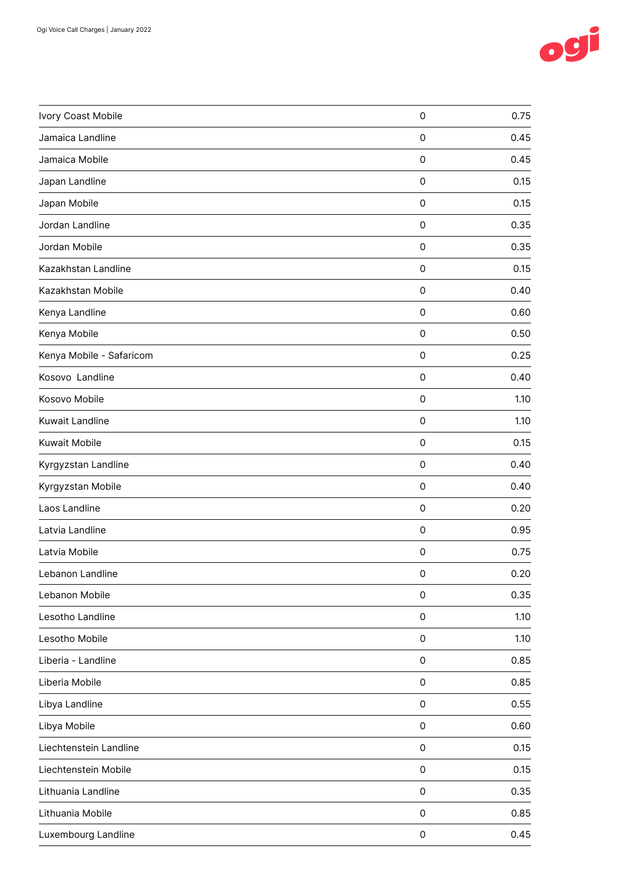

| Ivory Coast Mobile       | $\mathsf{O}\xspace$ | 0.75 |
|--------------------------|---------------------|------|
| Jamaica Landline         | $\mathbf 0$         | 0.45 |
| Jamaica Mobile           | $\mathsf{O}\xspace$ | 0.45 |
| Japan Landline           | $\mathsf{O}\xspace$ | 0.15 |
| Japan Mobile             | $\mathsf{O}\xspace$ | 0.15 |
| Jordan Landline          | 0                   | 0.35 |
| Jordan Mobile            | $\mathsf{O}\xspace$ | 0.35 |
| Kazakhstan Landline      | $\mathsf{O}\xspace$ | 0.15 |
| Kazakhstan Mobile        | $\mathsf{O}\xspace$ | 0.40 |
| Kenya Landline           | 0                   | 0.60 |
| Kenya Mobile             | $\mathsf{O}\xspace$ | 0.50 |
| Kenya Mobile - Safaricom | $\mathsf{O}\xspace$ | 0.25 |
| Kosovo Landline          | $\mathbf 0$         | 0.40 |
| Kosovo Mobile            | $\mathsf{O}\xspace$ | 1.10 |
| Kuwait Landline          | $\mathsf{O}\xspace$ | 1.10 |
| Kuwait Mobile            | $\mathsf{O}\xspace$ | 0.15 |
| Kyrgyzstan Landline      | 0                   | 0.40 |
| Kyrgyzstan Mobile        | 0                   | 0.40 |
| Laos Landline            | $\mathsf{O}\xspace$ | 0.20 |
| Latvia Landline          | $\mathsf{O}\xspace$ | 0.95 |
| Latvia Mobile            | 0                   | 0.75 |
| Lebanon Landline         | 0                   | 0.20 |
| Lebanon Mobile           | $\mathsf{O}\xspace$ | 0.35 |
| Lesotho Landline         | $\mathsf{O}\xspace$ | 1.10 |
| Lesotho Mobile           | $\mathsf{O}\xspace$ | 1.10 |
| Liberia - Landline       | $\mathsf{O}\xspace$ | 0.85 |
| Liberia Mobile           | $\mathsf{O}\xspace$ | 0.85 |
| Libya Landline           | $\mathsf{O}\xspace$ | 0.55 |
| Libya Mobile             | $\mathsf{O}\xspace$ | 0.60 |
| Liechtenstein Landline   | $\mathsf{O}\xspace$ | 0.15 |
| Liechtenstein Mobile     | $\mathsf 0$         | 0.15 |
| Lithuania Landline       | $\mathsf{O}\xspace$ | 0.35 |
| Lithuania Mobile         | $\mathsf{O}\xspace$ | 0.85 |
| Luxembourg Landline      | $\mathsf{O}\xspace$ | 0.45 |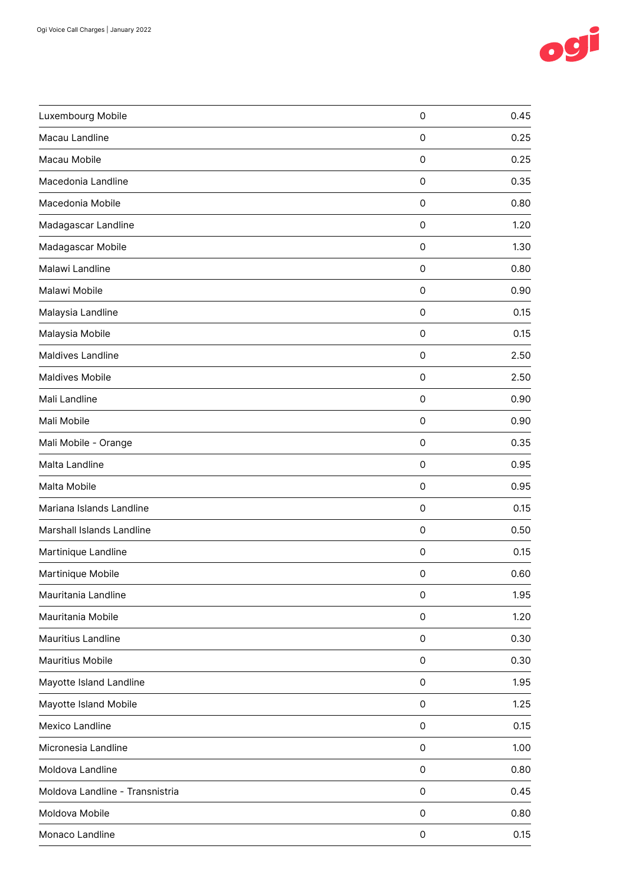

| Luxembourg Mobile               | $\mathsf{O}\xspace$ | 0.45 |
|---------------------------------|---------------------|------|
| Macau Landline                  | $\mathsf{O}\xspace$ | 0.25 |
| Macau Mobile                    | $\mathsf{O}\xspace$ | 0.25 |
| Macedonia Landline              | $\mathsf{O}\xspace$ | 0.35 |
| Macedonia Mobile                | $\mathsf{O}\xspace$ | 0.80 |
| Madagascar Landline             | 0                   | 1.20 |
| Madagascar Mobile               | 0                   | 1.30 |
| Malawi Landline                 | $\mathsf{O}\xspace$ | 0.80 |
| Malawi Mobile                   | $\mathsf{O}\xspace$ | 0.90 |
| Malaysia Landline               | 0                   | 0.15 |
| Malaysia Mobile                 | 0                   | 0.15 |
| Maldives Landline               | $\mathsf{O}\xspace$ | 2.50 |
| <b>Maldives Mobile</b>          | $\mathsf{O}\xspace$ | 2.50 |
| Mali Landline                   | $\mathsf{O}\xspace$ | 0.90 |
| Mali Mobile                     | $\mathsf{O}\xspace$ | 0.90 |
| Mali Mobile - Orange            | $\mathsf{O}\xspace$ | 0.35 |
| Malta Landline                  | 0                   | 0.95 |
| Malta Mobile                    | 0                   | 0.95 |
| Mariana Islands Landline        | 0                   | 0.15 |
| Marshall Islands Landline       | $\mathsf{O}\xspace$ | 0.50 |
| Martinique Landline             | 0                   | 0.15 |
| Martinique Mobile               | 0                   | 0.60 |
| Mauritania Landline             | $\mathsf{O}\xspace$ | 1.95 |
| Mauritania Mobile               | $\mathsf{O}\xspace$ | 1.20 |
| Mauritius Landline              | $\mathsf{O}\xspace$ | 0.30 |
| Mauritius Mobile                | $\mathsf{O}\xspace$ | 0.30 |
| Mayotte Island Landline         | $\mathsf{O}\xspace$ | 1.95 |
| Mayotte Island Mobile           | $\mathsf{O}\xspace$ | 1.25 |
| Mexico Landline                 | $\mathsf{O}\xspace$ | 0.15 |
| Micronesia Landline             | 0                   | 1.00 |
| Moldova Landline                | $\mathsf{O}\xspace$ | 0.80 |
| Moldova Landline - Transnistria | $\mathsf{O}\xspace$ | 0.45 |
| Moldova Mobile                  | $\mathsf{O}\xspace$ | 0.80 |
| Monaco Landline                 | $\mathsf{O}\xspace$ | 0.15 |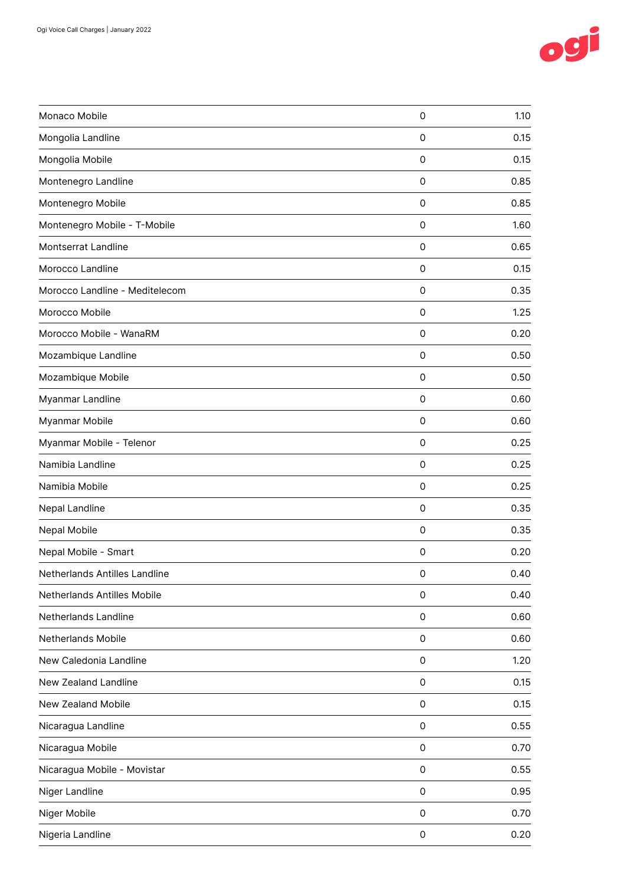

| Monaco Mobile                  | $\mathsf{O}\xspace$ | 1.10 |
|--------------------------------|---------------------|------|
| Mongolia Landline              | 0                   | 0.15 |
| Mongolia Mobile                | 0                   | 0.15 |
| Montenegro Landline            | 0                   | 0.85 |
| Montenegro Mobile              | 0                   | 0.85 |
| Montenegro Mobile - T-Mobile   | 0                   | 1.60 |
| Montserrat Landline            | 0                   | 0.65 |
| Morocco Landline               | $\mathsf{O}\xspace$ | 0.15 |
| Morocco Landline - Meditelecom | $\mathbf 0$         | 0.35 |
| Morocco Mobile                 | 0                   | 1.25 |
| Morocco Mobile - WanaRM        | $\mathsf{O}\xspace$ | 0.20 |
| Mozambique Landline            | $\mathsf{O}\xspace$ | 0.50 |
| Mozambique Mobile              | 0                   | 0.50 |
| Myanmar Landline               | 0                   | 0.60 |
| Myanmar Mobile                 | 0                   | 0.60 |
| Myanmar Mobile - Telenor       | $\mathsf{O}\xspace$ | 0.25 |
| Namibia Landline               | 0                   | 0.25 |
| Namibia Mobile                 | 0                   | 0.25 |
| Nepal Landline                 | $\mathsf{O}\xspace$ | 0.35 |
| Nepal Mobile                   | $\mathbf 0$         | 0.35 |
| Nepal Mobile - Smart           | 0                   | 0.20 |
| Netherlands Antilles Landline  | 0                   | 0.40 |
| Netherlands Antilles Mobile    | $\mathsf{O}\xspace$ | 0.40 |
| Netherlands Landline           | $\mathsf{O}\xspace$ | 0.60 |
| Netherlands Mobile             | $\mathsf{O}\xspace$ | 0.60 |
| New Caledonia Landline         | 0                   | 1.20 |
| New Zealand Landline           | $\mathsf{O}\xspace$ | 0.15 |
| New Zealand Mobile             | $\mathsf{O}\xspace$ | 0.15 |
| Nicaragua Landline             | $\mathsf{O}\xspace$ | 0.55 |
| Nicaragua Mobile               | $\mathsf{O}\xspace$ | 0.70 |
| Nicaragua Mobile - Movistar    | $\mathsf{O}\xspace$ | 0.55 |
| Niger Landline                 | $\mathsf{O}\xspace$ | 0.95 |
| Niger Mobile                   | $\mathsf{O}\xspace$ | 0.70 |
| Nigeria Landline               | $\mathsf{O}\xspace$ | 0.20 |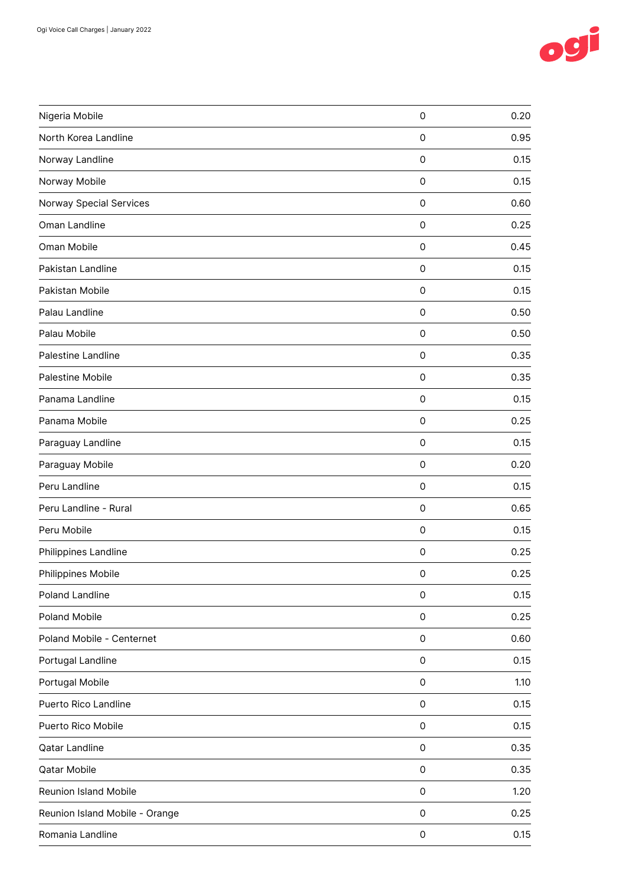

| Nigeria Mobile                 | $\mathsf{O}\xspace$ | 0.20 |
|--------------------------------|---------------------|------|
| North Korea Landline           | $\mathbf 0$         | 0.95 |
| Norway Landline                | $\mathsf{O}\xspace$ | 0.15 |
| Norway Mobile                  | $\mathsf{O}\xspace$ | 0.15 |
| <b>Norway Special Services</b> | $\mathsf{O}\xspace$ | 0.60 |
| Oman Landline                  | 0                   | 0.25 |
| Oman Mobile                    | 0                   | 0.45 |
| Pakistan Landline              | $\mathsf{O}\xspace$ | 0.15 |
| Pakistan Mobile                | $\mathsf{O}\xspace$ | 0.15 |
| Palau Landline                 | 0                   | 0.50 |
| Palau Mobile                   | 0                   | 0.50 |
| Palestine Landline             | $\mathsf{O}\xspace$ | 0.35 |
| Palestine Mobile               | $\mathbf 0$         | 0.35 |
| Panama Landline                | $\mathsf{O}\xspace$ | 0.15 |
| Panama Mobile                  | $\mathsf{O}\xspace$ | 0.25 |
| Paraguay Landline              | $\mathsf{O}\xspace$ | 0.15 |
| Paraguay Mobile                | 0                   | 0.20 |
| Peru Landline                  | 0                   | 0.15 |
| Peru Landline - Rural          | $\mathsf{O}\xspace$ | 0.65 |
| Peru Mobile                    | $\mathsf{O}\xspace$ | 0.15 |
| Philippines Landline           | 0                   | 0.25 |
| Philippines Mobile             | 0                   | 0.25 |
| Poland Landline                | 0                   | 0.15 |
| Poland Mobile                  | $\mathsf{O}\xspace$ | 0.25 |
| Poland Mobile - Centernet      | $\mathsf{O}\xspace$ | 0.60 |
| Portugal Landline              | $\mathsf{O}\xspace$ | 0.15 |
| Portugal Mobile                | $\mathsf{O}\xspace$ | 1.10 |
| Puerto Rico Landline           | 0                   | 0.15 |
| Puerto Rico Mobile             | $\mathsf{O}\xspace$ | 0.15 |
| <b>Qatar Landline</b>          | 0                   | 0.35 |
| Qatar Mobile                   | $\mathsf{O}\xspace$ | 0.35 |
| Reunion Island Mobile          | $\mathsf{O}\xspace$ | 1.20 |
| Reunion Island Mobile - Orange | $\mathsf{O}\xspace$ | 0.25 |
| Romania Landline               | $\mathsf{O}\xspace$ | 0.15 |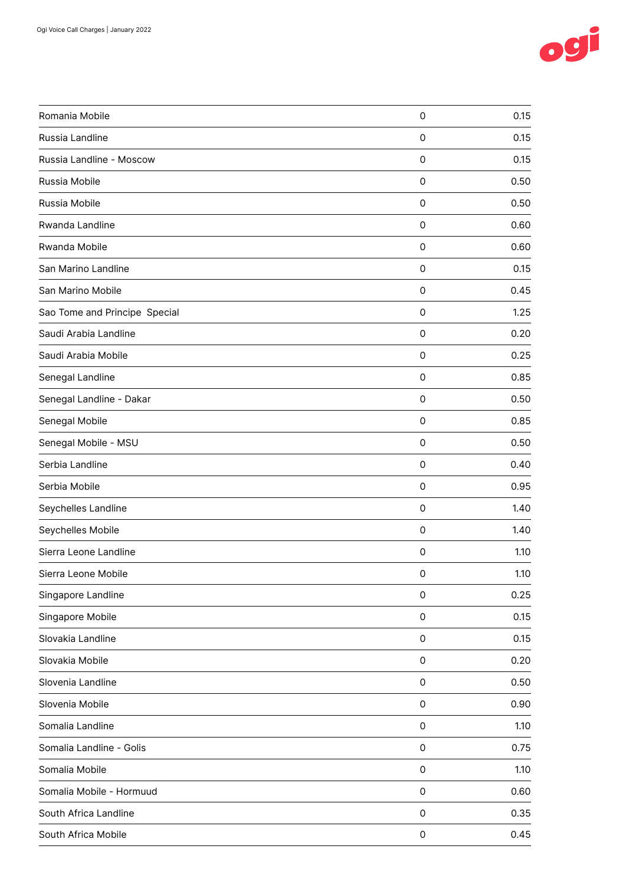

| Romania Mobile                | $\mathsf{O}\xspace$ | 0.15 |
|-------------------------------|---------------------|------|
| Russia Landline               | $\mathsf{O}\xspace$ | 0.15 |
| Russia Landline - Moscow      | $\mathsf{O}\xspace$ | 0.15 |
| Russia Mobile                 | $\mathsf{O}\xspace$ | 0.50 |
| Russia Mobile                 | $\mathbf 0$         | 0.50 |
| Rwanda Landline               | $\mathbf 0$         | 0.60 |
| Rwanda Mobile                 | 0                   | 0.60 |
| San Marino Landline           | $\mathsf{O}\xspace$ | 0.15 |
| San Marino Mobile             | $\mathsf{O}\xspace$ | 0.45 |
| Sao Tome and Principe Special | 0                   | 1.25 |
| Saudi Arabia Landline         | $\mathsf{O}\xspace$ | 0.20 |
| Saudi Arabia Mobile           | $\mathsf{O}\xspace$ | 0.25 |
| Senegal Landline              | $\mathsf{O}\xspace$ | 0.85 |
| Senegal Landline - Dakar      | 0                   | 0.50 |
| Senegal Mobile                | 0                   | 0.85 |
| Senegal Mobile - MSU          | $\mathsf{O}\xspace$ | 0.50 |
| Serbia Landline               | $\mathsf{O}\xspace$ | 0.40 |
| Serbia Mobile                 | 0                   | 0.95 |
| Seychelles Landline           | $\mathsf{O}\xspace$ | 1.40 |
| Seychelles Mobile             | $\mathsf{O}\xspace$ | 1.40 |
| Sierra Leone Landline         | 0                   | 1.10 |
| Sierra Leone Mobile           | 0                   | 1.10 |
| Singapore Landline            | $\mathsf{O}\xspace$ | 0.25 |
| Singapore Mobile              | $\mathsf{O}\xspace$ | 0.15 |
| Slovakia Landline             | $\mathsf{O}\xspace$ | 0.15 |
| Slovakia Mobile               | $\mathsf{O}\xspace$ | 0.20 |
| Slovenia Landline             | $\mathsf{O}\xspace$ | 0.50 |
| Slovenia Mobile               | $\mathsf{O}\xspace$ | 0.90 |
| Somalia Landline              | $\mathsf{O}\xspace$ | 1.10 |
| Somalia Landline - Golis      | $\mathsf{O}\xspace$ | 0.75 |
| Somalia Mobile                | $\mathsf{O}\xspace$ | 1.10 |
| Somalia Mobile - Hormuud      | $\mathsf{O}\xspace$ | 0.60 |
| South Africa Landline         | $\mathsf{O}\xspace$ | 0.35 |
| South Africa Mobile           | $\mathsf{O}\xspace$ | 0.45 |
|                               |                     |      |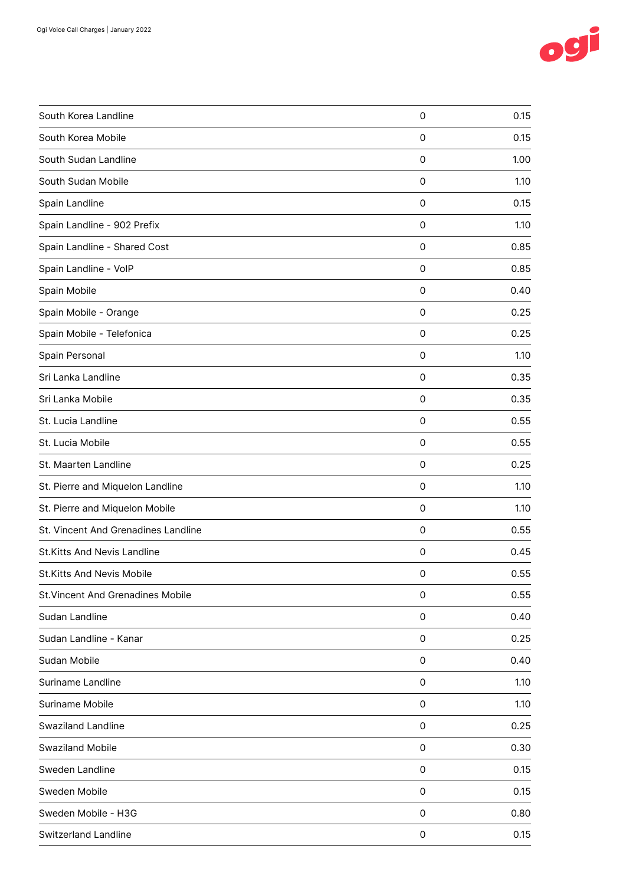

| $\mathsf{O}\xspace$ | 0.15 |
|---------------------|------|
| 0                   | 0.15 |
| 0                   | 1.00 |
| 0                   | 1.10 |
| 0                   | 0.15 |
| $\mathbf 0$         | 1.10 |
| 0                   | 0.85 |
| $\mathsf{O}\xspace$ | 0.85 |
| 0                   | 0.40 |
| 0                   | 0.25 |
| 0                   | 0.25 |
| $\mathsf{O}\xspace$ | 1.10 |
| 0                   | 0.35 |
| 0                   | 0.35 |
| 0                   | 0.55 |
| $\mathsf{O}\xspace$ | 0.55 |
| 0                   | 0.25 |
| 0                   | 1.10 |
| 0                   | 1.10 |
| $\mathbf 0$         | 0.55 |
| 0                   | 0.45 |
| 0                   | 0.55 |
| 0                   | 0.55 |
| 0                   | 0.40 |
| $\mathsf{O}\xspace$ | 0.25 |
| 0                   | 0.40 |
| 0                   | 1.10 |
| 0                   | 1.10 |
| 0                   | 0.25 |
| 0                   | 0.30 |
| 0                   | 0.15 |
| 0                   | 0.15 |
| 0                   | 0.80 |
| 0                   | 0.15 |
|                     |      |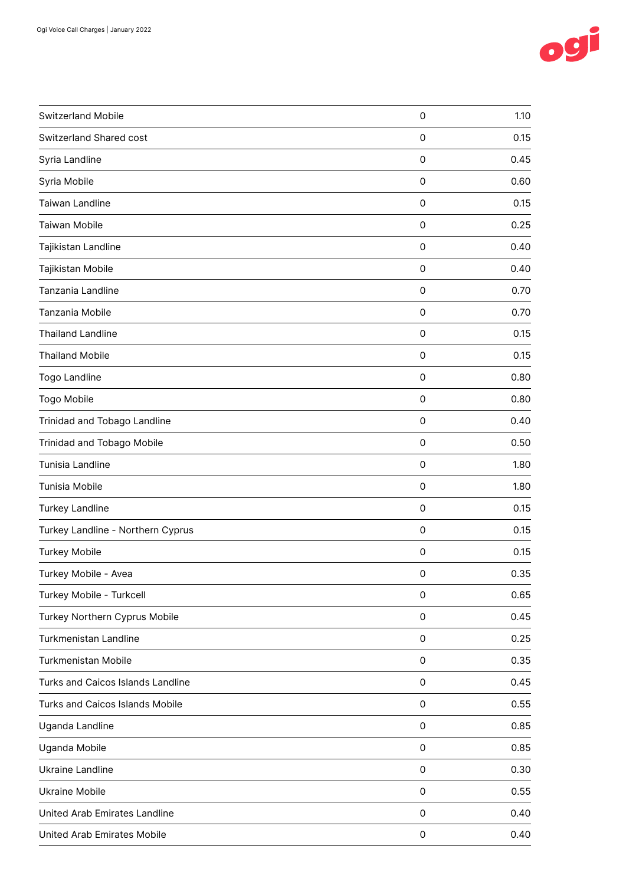

| Switzerland Mobile                | $\mathsf{O}\xspace$ | 1.10 |
|-----------------------------------|---------------------|------|
| Switzerland Shared cost           | 0                   | 0.15 |
| Syria Landline                    | 0                   | 0.45 |
| Syria Mobile                      | $\mathsf{O}\xspace$ | 0.60 |
| Taiwan Landline                   | $\mathbf 0$         | 0.15 |
| Taiwan Mobile                     | 0                   | 0.25 |
| Tajikistan Landline               | 0                   | 0.40 |
| Tajikistan Mobile                 | $\mathsf{O}\xspace$ | 0.40 |
| Tanzania Landline                 | $\mathbf 0$         | 0.70 |
| Tanzania Mobile                   | $\mathsf{O}\xspace$ | 0.70 |
| <b>Thailand Landline</b>          | 0                   | 0.15 |
| <b>Thailand Mobile</b>            | $\mathsf{O}\xspace$ | 0.15 |
| Togo Landline                     | 0                   | 0.80 |
| Togo Mobile                       | 0                   | 0.80 |
| Trinidad and Tobago Landline      | $\mathsf{O}\xspace$ | 0.40 |
| Trinidad and Tobago Mobile        | $\mathbf 0$         | 0.50 |
| Tunisia Landline                  | 0                   | 1.80 |
| Tunisia Mobile                    | 0                   | 1.80 |
| Turkey Landline                   | $\mathsf{O}\xspace$ | 0.15 |
| Turkey Landline - Northern Cyprus | $\mathbf 0$         | 0.15 |
| <b>Turkey Mobile</b>              | 0                   | 0.15 |
| Turkey Mobile - Avea              | 0                   | 0.35 |
| Turkey Mobile - Turkcell          | $\mathsf{O}\xspace$ | 0.65 |
| Turkey Northern Cyprus Mobile     | 0                   | 0.45 |
| Turkmenistan Landline             | $\mathsf{O}\xspace$ | 0.25 |
| <b>Turkmenistan Mobile</b>        | 0                   | 0.35 |
| Turks and Caicos Islands Landline | $\mathsf{O}\xspace$ | 0.45 |
| Turks and Caicos Islands Mobile   | $\mathsf{O}\xspace$ | 0.55 |
| Uganda Landline                   | $\mathsf{O}\xspace$ | 0.85 |
| Uganda Mobile                     | 0                   | 0.85 |
| Ukraine Landline                  | $\mathsf{O}\xspace$ | 0.30 |
| <b>Ukraine Mobile</b>             | $\mathsf{O}\xspace$ | 0.55 |
| United Arab Emirates Landline     | 0                   | 0.40 |
| United Arab Emirates Mobile       | 0                   | 0.40 |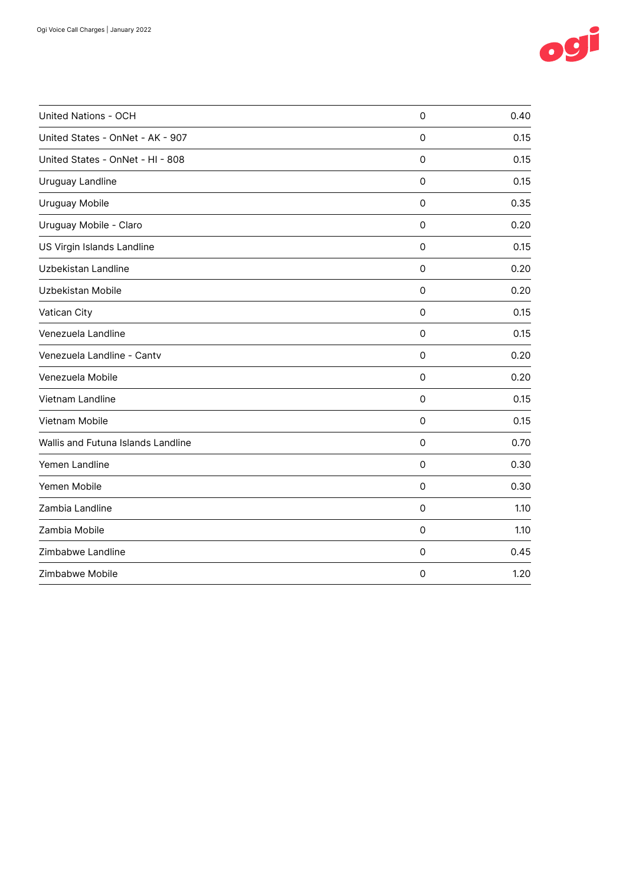

| United Nations - OCH               | $\mathbf 0$         | 0.40 |
|------------------------------------|---------------------|------|
| United States - OnNet - AK - 907   | $\mathbf 0$         | 0.15 |
| United States - OnNet - HI - 808   | 0                   | 0.15 |
| Uruguay Landline                   | 0                   | 0.15 |
| Uruguay Mobile                     | 0                   | 0.35 |
| Uruguay Mobile - Claro             | $\mathbf 0$         | 0.20 |
| US Virgin Islands Landline         | $\mathbf 0$         | 0.15 |
| Uzbekistan Landline                | 0                   | 0.20 |
| Uzbekistan Mobile                  | $\mathbf 0$         | 0.20 |
| Vatican City                       | $\mathbf 0$         | 0.15 |
| Venezuela Landline                 | $\mathbf 0$         | 0.15 |
| Venezuela Landline - Cantv         | 0                   | 0.20 |
| Venezuela Mobile                   | $\mathbf 0$         | 0.20 |
| Vietnam Landline                   | $\mathbf 0$         | 0.15 |
| Vietnam Mobile                     | 0                   | 0.15 |
| Wallis and Futuna Islands Landline | $\mathbf 0$         | 0.70 |
| Yemen Landline                     | $\mathbf 0$         | 0.30 |
| Yemen Mobile                       | 0                   | 0.30 |
| Zambia Landline                    | 0                   | 1.10 |
| Zambia Mobile                      | $\mathbf 0$         | 1.10 |
| Zimbabwe Landline                  | $\mathbf 0$         | 0.45 |
| Zimbabwe Mobile                    | $\mathsf{O}\xspace$ | 1.20 |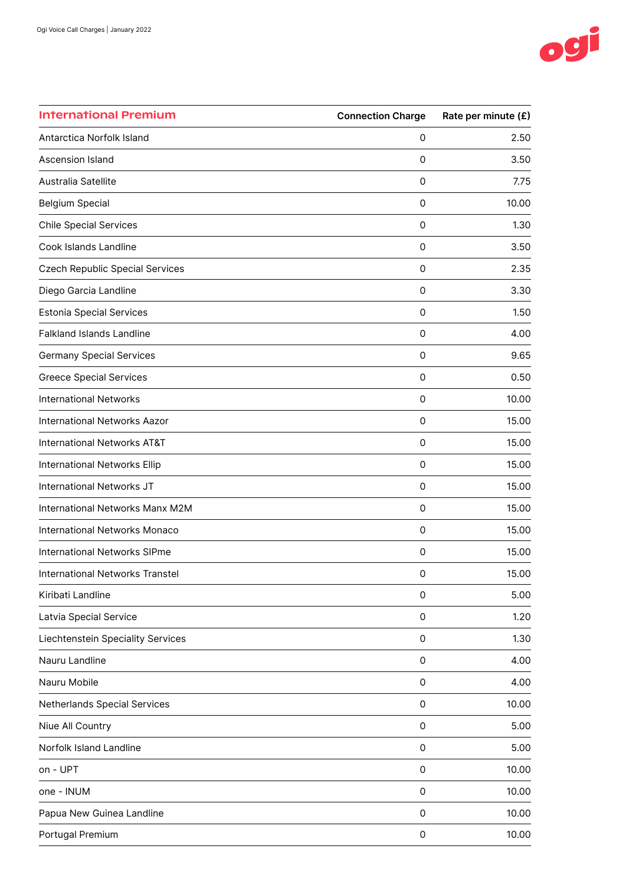

| <b>International Premium</b>           | <b>Connection Charge</b> | Rate per minute (£) |
|----------------------------------------|--------------------------|---------------------|
| Antarctica Norfolk Island              | 0                        | 2.50                |
| Ascension Island                       | 0                        | 3.50                |
| Australia Satellite                    | 0                        | 7.75                |
| <b>Belgium Special</b>                 | 0                        | 10.00               |
| <b>Chile Special Services</b>          | 0                        | 1.30                |
| Cook Islands Landline                  | 0                        | 3.50                |
| <b>Czech Republic Special Services</b> | 0                        | 2.35                |
| Diego Garcia Landline                  | 0                        | 3.30                |
| <b>Estonia Special Services</b>        | 0                        | 1.50                |
| <b>Falkland Islands Landline</b>       | 0                        | 4.00                |
| <b>Germany Special Services</b>        | 0                        | 9.65                |
| <b>Greece Special Services</b>         | 0                        | 0.50                |
| <b>International Networks</b>          | 0                        | 10.00               |
| <b>International Networks Aazor</b>    | $\mathsf 0$              | 15.00               |
| <b>International Networks AT&amp;T</b> | 0                        | 15.00               |
| International Networks Ellip           | 0                        | 15.00               |
| International Networks JT              | 0                        | 15.00               |
| International Networks Manx M2M        | $\mathsf{O}\xspace$      | 15.00               |
| International Networks Monaco          | 0                        | 15.00               |
| <b>International Networks SIPme</b>    | 0                        | 15.00               |
| International Networks Transtel        | 0                        | 15.00               |
| Kiribati Landline                      | 0                        | 5.00                |
| Latvia Special Service                 | $\mathsf{O}\xspace$      | 1.20                |
| Liechtenstein Speciality Services      | 0                        | 1.30                |
| Nauru Landline                         | 0                        | 4.00                |
| Nauru Mobile                           | 0                        | 4.00                |
| Netherlands Special Services           | 0                        | 10.00               |
| Niue All Country                       | 0                        | 5.00                |
| Norfolk Island Landline                | 0                        | 5.00                |
| on - UPT                               | $\mathsf{O}\xspace$      | 10.00               |
| one - INUM                             | 0                        | 10.00               |
| Papua New Guinea Landline              | 0                        | 10.00               |
| Portugal Premium                       | 0                        | 10.00               |